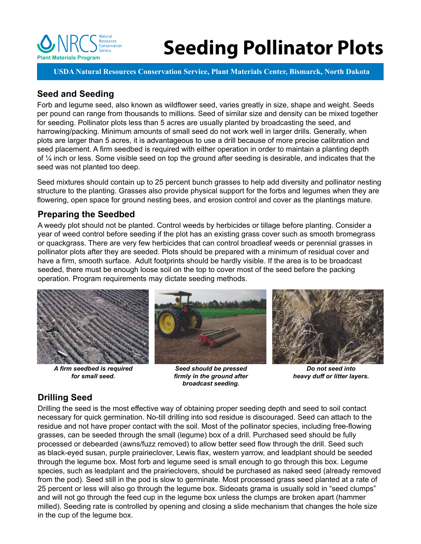

# **Plant Materials Program Seeding Pollinator Plots**

**USDA Natural Resources Conservation Service, Plant Materials Center, Bismarck, North Dakota**

# **Seed and Seeding**

Forb and legume seed, also known as wildflower seed, varies greatly in size, shape and weight. Seeds per pound can range from thousands to millions. Seed of similar size and density can be mixed together for seeding. Pollinator plots less than 5 acres are usually planted by broadcasting the seed, and harrowing/packing. Minimum amounts of small seed do not work well in larger drills. Generally, when plots are larger than 5 acres, it is advantageous to use a drill because of more precise calibration and seed placement. A firm seedbed is required with either operation in order to maintain a planting depth of ¼ inch or less. Some visible seed on top the ground after seeding is desirable, and indicates that the seed was not planted too deep.

Seed mixtures should contain up to 25 percent bunch grasses to help add diversity and pollinator nesting structure to the planting. Grasses also provide physical support for the forbs and legumes when they are flowering, open space for ground nesting bees, and erosion control and cover as the plantings mature.

## **Preparing the Seedbed**

A weedy plot should not be planted. Control weeds by herbicides or tillage before planting. Consider a year of weed control before seeding if the plot has an existing grass cover such as smooth bromegrass or quackgrass. There are very few herbicides that can control broadleaf weeds or perennial grasses in pollinator plots after they are seeded. Plots should be prepared with a minimum of residual cover and have a firm, smooth surface. Adult footprints should be hardly visible. If the area is to be broadcast seeded, there must be enough loose soil on the top to cover most of the seed before the packing operation. Program requirements may dictate seeding methods.



*A firm seedbed is required for small seed.*



*Seed should be pressed firmly in the ground after broadcast seeding.*



*Do not seed into heavy duff or litter layers.*

# **Drilling Seed**

Drilling the seed is the most effective way of obtaining proper seeding depth and seed to soil contact necessary for quick germination. No-till drilling into sod residue is discouraged. Seed can attach to the residue and not have proper contact with the soil. Most of the pollinator species, including free-flowing grasses, can be seeded through the small (legume) box of a drill. Purchased seed should be fully processed or debearded (awns/fuzz removed) to allow better seed flow through the drill. Seed such as black-eyed susan, purple prairieclover, Lewis flax, western yarrow, and leadplant should be seeded through the legume box. Most forb and legume seed is small enough to go through this box. Legume species, such as leadplant and the prairieclovers, should be purchased as naked seed (already removed from the pod). Seed still in the pod is slow to germinate. Most processed grass seed planted at a rate of 25 percent or less will also go through the legume box. Sideoats grama is usually sold in "seed clumps" and will not go through the feed cup in the legume box unless the clumps are broken apart (hammer milled). Seeding rate is controlled by opening and closing a slide mechanism that changes the hole size in the cup of the legume box.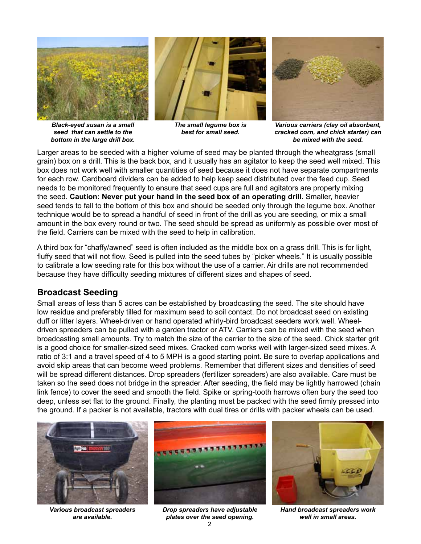

*Black-eyed susan is a small seed that can settle to the bottom in the large drill box.* 



*The small legume box is best for small seed.*



*Various carriers (clay oil absorbent, cracked corn, and chick starter) can be mixed with the seed.*

Larger areas to be seeded with a higher volume of seed may be planted through the wheatgrass (small grain) box on a drill. This is the back box, and it usually has an agitator to keep the seed well mixed. This box does not work well with smaller quantities of seed because it does not have separate compartments for each row. Cardboard dividers can be added to help keep seed distributed over the feed cup. Seed needs to be monitored frequently to ensure that seed cups are full and agitators are properly mixing the seed. **Caution: Never put your hand in the seed box of an operating drill.** Smaller, heavier seed tends to fall to the bottom of this box and should be seeded only through the legume box. Another technique would be to spread a handful of seed in front of the drill as you are seeding, or mix a small amount in the box every round or two. The seed should be spread as uniformly as possible over most of the field. Carriers can be mixed with the seed to help in calibration.

A third box for "chaffy/awned" seed is often included as the middle box on a grass drill. This is for light, fluffy seed that will not flow. Seed is pulled into the seed tubes by "picker wheels." It is usually possible to calibrate a low seeding rate for this box without the use of a carrier. Air drills are not recommended because they have difficulty seeding mixtures of different sizes and shapes of seed.

## **Broadcast Seeding**

Small areas of less than 5 acres can be established by broadcasting the seed. The site should have low residue and preferably tilled for maximum seed to soil contact. Do not broadcast seed on existing duff or litter layers. Wheel-driven or hand operated whirly-bird broadcast seeders work well. Wheeldriven spreaders can be pulled with a garden tractor or ATV. Carriers can be mixed with the seed when broadcasting small amounts. Try to match the size of the carrier to the size of the seed. Chick starter grit is a good choice for smaller-sized seed mixes. Cracked corn works well with larger-sized seed mixes. A ratio of 3:1 and a travel speed of 4 to 5 MPH is a good starting point. Be sure to overlap applications and avoid skip areas that can become weed problems. Remember that different sizes and densities of seed will be spread different distances. Drop spreaders (fertilizer spreaders) are also available. Care must be taken so the seed does not bridge in the spreader. After seeding, the field may be lightly harrowed (chain link fence) to cover the seed and smooth the field. Spike or spring-tooth harrows often bury the seed too deep, unless set flat to the ground. Finally, the planting must be packed with the seed firmly pressed into the ground. If a packer is not available, tractors with dual tires or drills with packer wheels can be used.



*Various broadcast spreaders are available.*



*Drop spreaders have adjustable plates over the seed opening.*



*Hand broadcast spreaders work well in small areas.*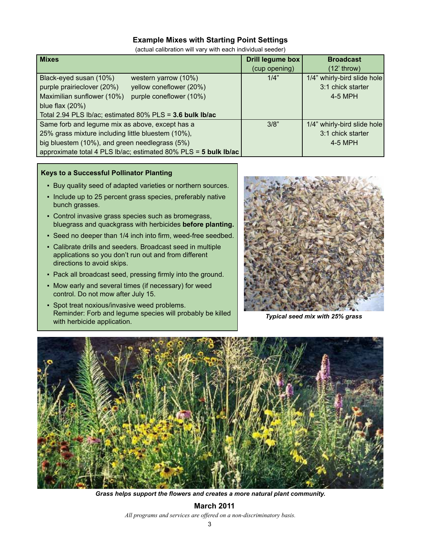### **Example Mixes with Starting Point Settings**

(actual calibration will vary with each individual seeder)

| <b>Mixes</b>                                                    | Drill legume box | <b>Broadcast</b>            |
|-----------------------------------------------------------------|------------------|-----------------------------|
|                                                                 | (cup opening)    | $(12'$ throw)               |
| Black-eyed susan (10%)<br>western yarrow (10%)                  | 1/4"             | 1/4" whirly-bird slide hole |
| purple prairieclover (20%)<br>yellow coneflower (20%)           |                  | 3:1 chick starter           |
| Maximilian sunflower (10%)<br>purple coneflower (10%)           |                  | 4-5 MPH                     |
| blue flax $(20%)$                                               |                  |                             |
| Total 2.94 PLS Ib/ac; estimated 80% PLS = 3.6 bulk Ib/ac        |                  |                             |
| Same forb and legume mix as above, except has a                 | 3/8"             | 1/4" whirly-bird slide hole |
| 25% grass mixture including little bluestem (10%),              |                  | 3:1 chick starter           |
| big bluestem (10%), and green needlegrass (5%)                  |                  | 4-5 MPH                     |
| approximate total 4 PLS Ib/ac; estimated 80% PLS = 5 bulk Ib/ac |                  |                             |

#### **Keys to a Successful Pollinator Planting**

- Buy quality seed of adapted varieties or northern sources.
- Include up to 25 percent grass species, preferably native bunch grasses.
- Control invasive grass species such as bromegrass, bluegrass and quackgrass with herbicides **before planting.**
- Seed no deeper than 1/4 inch into firm, weed-free seedbed.
- Calibrate drills and seeders. Broadcast seed in multiple applications so you don't run out and from different directions to avoid skips.
- Pack all broadcast seed, pressing firmly into the ground.
- Mow early and several times (if necessary) for weed control. Do not mow after July 15.
- **Spot treat noxious/invasive weed problems.** Reminder: Forb and legume species will probably be killed with herbicide application. *Typical seed mix with 25% grass*





*Grass helps support the flowers and creates a more natural plant community.*

*All programs and services are offered on a non-discriminatory basis.* **March 2011**